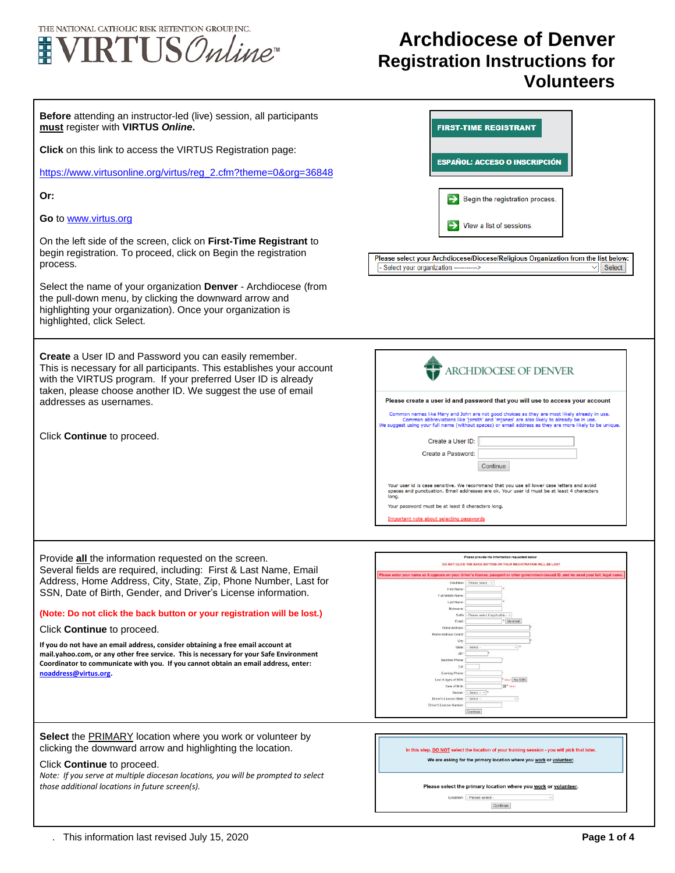

## **Archdiocese of Denver Registration Instructions for Volunteers**

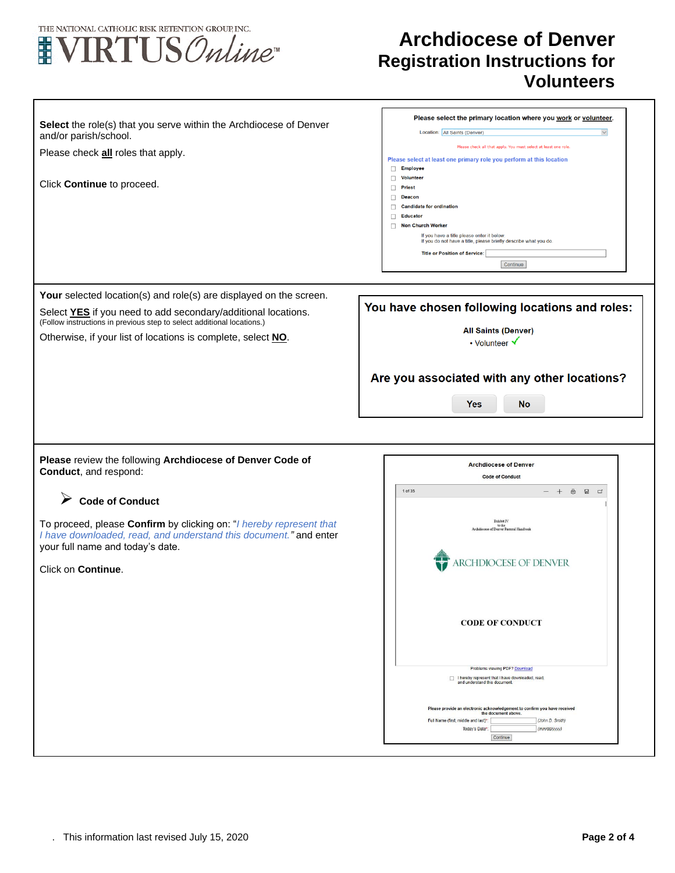

## **Archdiocese of Denver Registration Instructions for Volunteers**

| Select the role(s) that you serve within the Archdiocese of Denver<br>and/or parish/school. | Please select the primary location where you work or volunteer.<br>Location: All Saints (Denver)              |
|---------------------------------------------------------------------------------------------|---------------------------------------------------------------------------------------------------------------|
|                                                                                             | Please check all that apply. You must select at least one role.                                               |
| Please check all roles that apply.                                                          | Please select at least one primary role you perform at this location                                          |
|                                                                                             | <b>Employee</b><br>п                                                                                          |
|                                                                                             | <b>Volunteer</b><br>п                                                                                         |
| Click Continue to proceed.                                                                  | $\Box$<br>Priest                                                                                              |
|                                                                                             | <b>Deacon</b>                                                                                                 |
|                                                                                             | <b>Candidate for ordination</b><br>п                                                                          |
|                                                                                             | <b>Educator</b><br>П                                                                                          |
|                                                                                             | $\Box$<br><b>Non Church Worker</b>                                                                            |
|                                                                                             | If you have a title please enter it below.<br>If you do not have a title, please briefly describe what you do |
|                                                                                             | <b>Title or Position of Service:</b>                                                                          |
|                                                                                             | Continue                                                                                                      |
|                                                                                             |                                                                                                               |
|                                                                                             |                                                                                                               |
| Your selected location(s) and role(s) are displayed on the screen.                          |                                                                                                               |
|                                                                                             | You have chosen following locations and roles:                                                                |
| Select YES if you need to add secondary/additional locations.                               |                                                                                                               |
| (Follow instructions in previous step to select additional locations.)                      | <b>All Saints (Denver)</b>                                                                                    |
| Otherwise, if your list of locations is complete, select NO.                                | • Volunteer V                                                                                                 |
|                                                                                             |                                                                                                               |
|                                                                                             |                                                                                                               |
|                                                                                             |                                                                                                               |
|                                                                                             | Are you associated with any other locations?                                                                  |
|                                                                                             |                                                                                                               |
|                                                                                             | <b>Yes</b><br><b>No</b>                                                                                       |
|                                                                                             |                                                                                                               |
|                                                                                             |                                                                                                               |
|                                                                                             |                                                                                                               |
|                                                                                             |                                                                                                               |
|                                                                                             |                                                                                                               |
| Please review the following Archdiocese of Denver Code of                                   |                                                                                                               |
| Conduct, and respond:                                                                       | <b>Archdiocese of Denver</b>                                                                                  |
|                                                                                             | <b>Code of Conduct</b>                                                                                        |
|                                                                                             | 1 of 35<br>$- +$ $\oplus$ $\oplus$ $\Box$                                                                     |
| ➤<br><b>Code of Conduct</b>                                                                 |                                                                                                               |
|                                                                                             |                                                                                                               |
| To proceed, please Confirm by clicking on: "I hereby represent that                         | Exhibit IV<br>to the                                                                                          |
| I have downloaded, read, and understand this document." and enter                           | Archdiocese of Denver Pastoral Handbook                                                                       |
| your full name and today's date.                                                            |                                                                                                               |
|                                                                                             |                                                                                                               |
| Click on Continue.                                                                          | <b>ARCHDIOCESE OF DENVER</b>                                                                                  |
|                                                                                             |                                                                                                               |
|                                                                                             |                                                                                                               |
|                                                                                             |                                                                                                               |
|                                                                                             |                                                                                                               |
|                                                                                             | <b>CODE OF CONDUCT</b>                                                                                        |
|                                                                                             |                                                                                                               |
|                                                                                             |                                                                                                               |
|                                                                                             |                                                                                                               |
|                                                                                             | Problems viewing PDF? Download                                                                                |
|                                                                                             | I hereby represent that I have downloaded, read,<br>and understand this document.                             |
|                                                                                             |                                                                                                               |
|                                                                                             |                                                                                                               |
|                                                                                             | Please provide an electronic acknowledgement to confirm you have received<br>the document above.              |
|                                                                                             | Full Name (first, middle and last)*:<br>(John D. Smith)                                                       |
|                                                                                             | Today's Date":<br>(mm/dd/yyyy)<br>Continue                                                                    |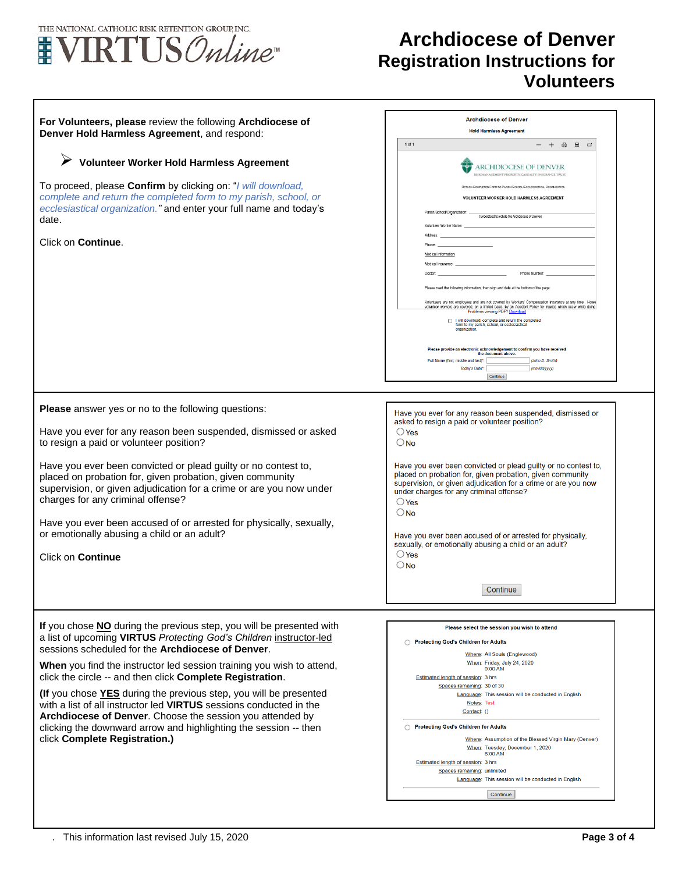

 $\Gamma$ 

## **Archdiocese of Denver Registration Instructions for Volunteers**

٦

| For Volunteers, please review the following Archdiocese of<br>Denver Hold Harmless Agreement, and respond:<br>Volunteer Worker Hold Harmless Agreement<br>To proceed, please Confirm by clicking on: "I will download,<br>complete and return the completed form to my parish, school, or<br>ecclesiastical organization." and enter your full name and today's<br>date.<br>Click on Continue.                                                                                                                                                                                                                                                     | <b>Archdiocese of Denver</b><br><b>Hold Harmless Agreement</b><br>$1$ of $1$<br>$- +$ $\uplus$ $\uplus$ $\uplus$<br><b>ARCHDIOCESE OF DENVER</b><br>RISK MANAGEMENT PROPERTY/CASUALTY INSURANCE TRUS<br>RETURN COMPLETED FORM TO PARISH/SCHOOL/ECCLESIASTICAL ORGANIZATION<br>VOLUNTEER WORKER HOLD HARMLESS AGREEMENT<br>Parish/School/Organization:<br>(Understood to include the Archdiocese of Denver)<br>Volunteer Worker Name:<br>Address<br>Medical Information<br>Medical Insurance:<br>Phone Number:<br>Doctor<br>Please read the following information, then sign and date at the bottom of the page<br>Volunteers are not employees and are not covered by Workers' Compensation insurance at any time. Howe<br>volunteer workers are covered, on a limited basis, by an Accident Policy for injuries which occur while doing<br>Problems viewing PDF? Download<br>I will download, complete and return the completed |
|----------------------------------------------------------------------------------------------------------------------------------------------------------------------------------------------------------------------------------------------------------------------------------------------------------------------------------------------------------------------------------------------------------------------------------------------------------------------------------------------------------------------------------------------------------------------------------------------------------------------------------------------------|----------------------------------------------------------------------------------------------------------------------------------------------------------------------------------------------------------------------------------------------------------------------------------------------------------------------------------------------------------------------------------------------------------------------------------------------------------------------------------------------------------------------------------------------------------------------------------------------------------------------------------------------------------------------------------------------------------------------------------------------------------------------------------------------------------------------------------------------------------------------------------------------------------------------------------|
|                                                                                                                                                                                                                                                                                                                                                                                                                                                                                                                                                                                                                                                    | form to my parish, school, or ecclesiastical<br>organization<br>Please provide an electronic acknowledgement to confirm you have received<br>the document above.<br>Full Name (first, middle and last)*:<br><b>Cohn D. Smith</b><br>Today's Date*:<br>(mm/dd/yyyy)<br>Continue                                                                                                                                                                                                                                                                                                                                                                                                                                                                                                                                                                                                                                                   |
| Please answer yes or no to the following questions:<br>Have you ever for any reason been suspended, dismissed or asked<br>to resign a paid or volunteer position?                                                                                                                                                                                                                                                                                                                                                                                                                                                                                  | Have you ever for any reason been suspended, dismissed or<br>asked to resign a paid or volunteer position?<br>$\bigcirc$ Yes<br>$\bigcirc$ No                                                                                                                                                                                                                                                                                                                                                                                                                                                                                                                                                                                                                                                                                                                                                                                    |
| Have you ever been convicted or plead guilty or no contest to,<br>placed on probation for, given probation, given community<br>supervision, or given adjudication for a crime or are you now under<br>charges for any criminal offense?<br>Have you ever been accused of or arrested for physically, sexually,<br>or emotionally abusing a child or an adult?                                                                                                                                                                                                                                                                                      | Have you ever been convicted or plead guilty or no contest to,<br>placed on probation for, given probation, given community<br>supervision, or given adjudication for a crime or are you now<br>under charges for any criminal offense?<br>$\bigcirc$ Yes<br>$\bigcirc$ No<br>Have you ever been accused of or arrested for physically,                                                                                                                                                                                                                                                                                                                                                                                                                                                                                                                                                                                          |
| <b>Click on Continue</b>                                                                                                                                                                                                                                                                                                                                                                                                                                                                                                                                                                                                                           | sexually, or emotionally abusing a child or an adult?<br>$\bigcirc$ Yes<br>$\bigcirc$ No                                                                                                                                                                                                                                                                                                                                                                                                                                                                                                                                                                                                                                                                                                                                                                                                                                         |
|                                                                                                                                                                                                                                                                                                                                                                                                                                                                                                                                                                                                                                                    | Continue                                                                                                                                                                                                                                                                                                                                                                                                                                                                                                                                                                                                                                                                                                                                                                                                                                                                                                                         |
| If you chose NO during the previous step, you will be presented with<br>a list of upcoming VIRTUS Protecting God's Children instructor-led<br>sessions scheduled for the Archdiocese of Denver.<br>When you find the instructor led session training you wish to attend,<br>click the circle -- and then click Complete Registration.<br>(If you chose YES during the previous step, you will be presented<br>with a list of all instructor led VIRTUS sessions conducted in the<br>Archdiocese of Denver. Choose the session you attended by<br>clicking the downward arrow and highlighting the session -- then<br>click Complete Registration.) | Please select the session you wish to attend<br>Protecting God's Children for Adults<br>Where: All Souls (Englewood)<br>When: Friday, July 24, 2020<br>9:00 AM<br>Estimated length of session: 3 hrs<br>Spaces remaining: 30 of 30<br>Language: This session will be conducted in English<br>Notes: Test<br>Contact: ()<br>◯ Protecting God's Children for Adults<br>Where: Assumption of the Blessed Virgin Mary (Denver)<br>When: Tuesday, December 1, 2020<br>8:00 AM<br>Estimated length of session: 3 hrs<br>Spaces remaining: unlimited<br>Language: This session will be conducted in English                                                                                                                                                                                                                                                                                                                             |